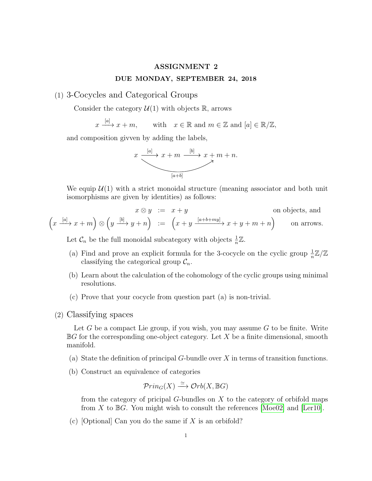## ASSIGNMENT 2 DUE MONDAY, SEPTEMBER 24, 2018

## (1) 3-Cocycles and Categorical Groups

Consider the category  $\mathcal{U}(1)$  with objects R, arrows

 $x \xrightarrow{[a]} x + m$ , with  $x \in \mathbb{R}$  and  $m \in \mathbb{Z}$  and  $[a] \in \mathbb{R}/\mathbb{Z}$ ,

and composition givven by adding the labels,



We equip  $\mathcal{U}(1)$  with a strict monoidal structure (meaning associator and both unit isomorphisms are given by identities) as follows:

$$
x \otimes y := x + y
$$
on objects, and  

$$
(x \xrightarrow{[a]} x + m) \otimes (y \xrightarrow{[b]} y + n) := (x + y \xrightarrow{[a+b+my]} x + y + m + n)
$$
on arrows.

Let  $C_n$  be the full monoidal subcategory with objects  $\frac{1}{n}\mathbb{Z}$ .

- (a) Find and prove an explicit formula for the 3-cocycle on the cyclic group  $\frac{1}{n}\mathbb{Z}/\mathbb{Z}$ classifying the categorical group  $C_n$ .
- (b) Learn about the calculation of the cohomology of the cyclic groups using minimal resolutions.
- (c) Prove that your cocycle from question part (a) is non-trivial.
- (2) Classifying spaces

Let G be a compact Lie group, if you wish, you may assume  $G$  to be finite. Write  $\mathbb{B}G$  for the corresponding one-object category. Let X be a finite dimensional, smooth manifold.

- (a) State the definition of principal  $G$ -bundle over  $X$  in terms of transition functions.
- (b) Construct an equivalence of categories

$$
\mathcal{P}rin_G(X) \xrightarrow{\simeq} \mathcal{O}rb(X,\mathbb{B}G)
$$

from the category of pricipal G-bundles on X to the category of orbifold maps from X to  $\mathbb{B}G$ . You might wish to consult the references [\[Moe02\]](#page-1-0) and [\[Ler10\]](#page-1-1).

(c) [Optional] Can you do the same if  $X$  is an orbifold?